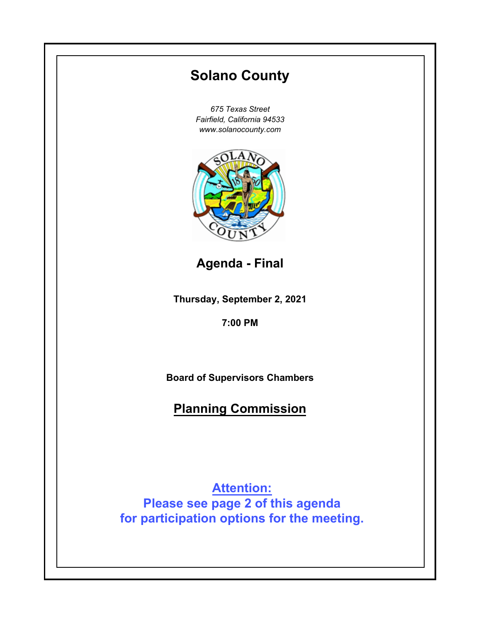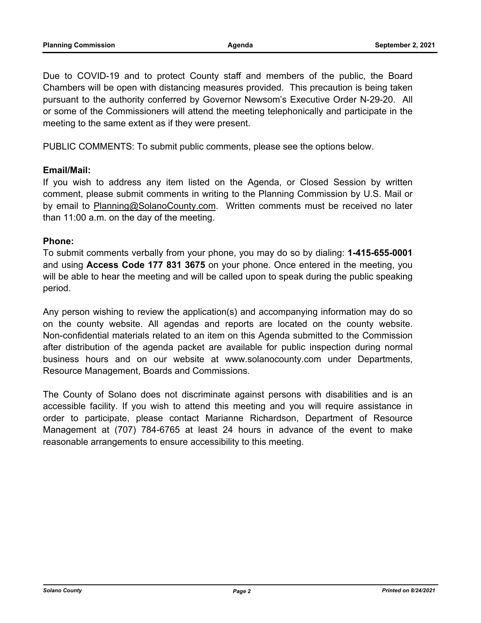Due to COVID-19 and to protect County staff and members of the public, the Board Chambers will be open with distancing measures provided. This precaution is being taken pursuant to the authority conferred by Governor Newsom's Executive Order N-29-20. All or some of the Commissioners will attend the meeting telephonically and participate in the meeting to the same extent as if they were present.

PUBLIC COMMENTS: To submit public comments, please see the options below.

# **Email/Mail:**

If you wish to address any item listed on the Agenda, or Closed Session by written comment, please submit comments in writing to the Planning Commission by U.S. Mail or by email to Planning@SolanoCounty.com. Written comments must be received no later than 11:00 a.m. on the day of the meeting.

# **Phone:**

To submit comments verbally from your phone, you may do so by dialing: **1-415-655-0001** and using **Access Code 177 831 3675** on your phone. Once entered in the meeting, you will be able to hear the meeting and will be called upon to speak during the public speaking period.

Any person wishing to review the application(s) and accompanying information may do so on the county website. All agendas and reports are located on the county website. Non-confidential materials related to an item on this Agenda submitted to the Commission after distribution of the agenda packet are available for public inspection during normal business hours and on our website at www.solanocounty.com under Departments, Resource Management, Boards and Commissions.

The County of Solano does not discriminate against persons with disabilities and is an accessible facility. If you wish to attend this meeting and you will require assistance in order to participate, please contact Marianne Richardson, Department of Resource Management at (707) 784-6765 at least 24 hours in advance of the event to make reasonable arrangements to ensure accessibility to this meeting.